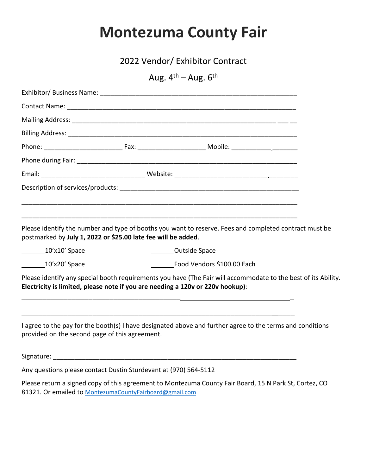## **Montezuma County Fair**

2022 Vendor/ Exhibitor Contract

Aug.  $4^{th}$  – Aug.  $6^{th}$ 

| postmarked by July 1, 2022 or \$25.00 late fee will be added.    |  | Please identify the number and type of booths you want to reserve. Fees and completed contract must be                                                                                           |
|------------------------------------------------------------------|--|--------------------------------------------------------------------------------------------------------------------------------------------------------------------------------------------------|
| $\frac{10^{\prime} \times 10^{\prime}}{2}$ Space                 |  | Outside Space                                                                                                                                                                                    |
| 10'x20' Space                                                    |  | Food Vendors \$100.00 Each                                                                                                                                                                       |
|                                                                  |  | Please identify any special booth requirements you have (The Fair will accommodate to the best of its Ability.<br>Electricity is limited, please note if you are needing a 120v or 220v hookup): |
| provided on the second page of this agreement.                   |  | I agree to the pay for the booth(s) I have designated above and further agree to the terms and conditions                                                                                        |
|                                                                  |  |                                                                                                                                                                                                  |
| Any questions please contact Dustin Sturdevant at (970) 564-5112 |  |                                                                                                                                                                                                  |
| 81321. Or emailed to MontezumaCountyFairboard@gmail.com          |  | Please return a signed copy of this agreement to Montezuma County Fair Board, 15 N Park St, Cortez, CO                                                                                           |